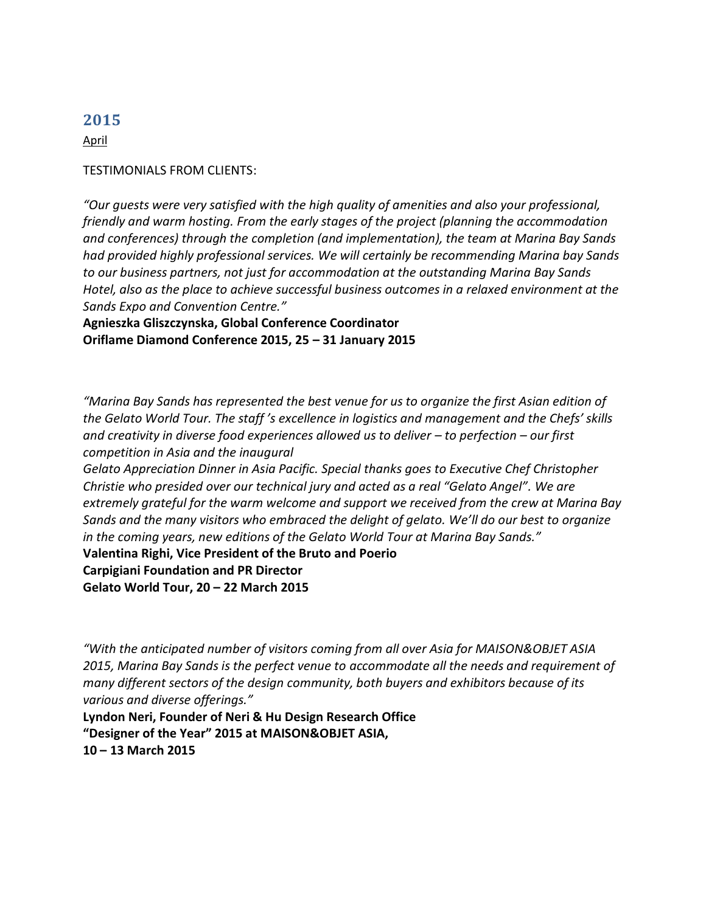April

#### TESTIMONIALS FROM CLIENTS:

*"Our guests were very satisfied with the high quality of amenities and also your professional, friendly and warm hosting. From the early stages of the project (planning the accommodation and conferences) through the completion (and implementation), the team at Marina Bay Sands had provided highly professional services. We will certainly be recommending Marina bay Sands to our business partners, not just for accommodation at the outstanding Marina Bay Sands Hotel, also as the place to achieve successful business outcomes in a relaxed environment at the Sands Expo and Convention Centre."*

**Agnieszka Gliszczynska, Global Conference Coordinator Oriflame Diamond Conference 2015, 25 – 31 January 2015**

*"Marina Bay Sands has represented the best venue for us to organize the first Asian edition of the Gelato World Tour. The staff 's excellence in logistics and management and the Chefs' skills and creativity in diverse food experiences allowed us to deliver – to perfection – our first competition in Asia and the inaugural*

*Gelato Appreciation Dinner in Asia Pacific. Special thanks goes to Executive Chef Christopher Christie who presided over our technical jury and acted as a real "Gelato Angel". We are extremely grateful for the warm welcome and support we received from the crew at Marina Bay Sands and the many visitors who embraced the delight of gelato. We'll do our best to organize in the coming years, new editions of the Gelato World Tour at Marina Bay Sands."*

**Valentina Righi, Vice President of the Bruto and Poerio**

**Carpigiani Foundation and PR Director Gelato World Tour, 20 – 22 March 2015**

*"With the anticipated number of visitors coming from all over Asia for MAISON&OBJET ASIA 2015, Marina Bay Sands is the perfect venue to accommodate all the needs and requirement of many different sectors of the design community, both buyers and exhibitors because of its various and diverse offerings."*

**Lyndon Neri, Founder of Neri & Hu Design Research Office "Designer of the Year" 2015 at MAISON&OBJET ASIA, 10 – 13 March 2015**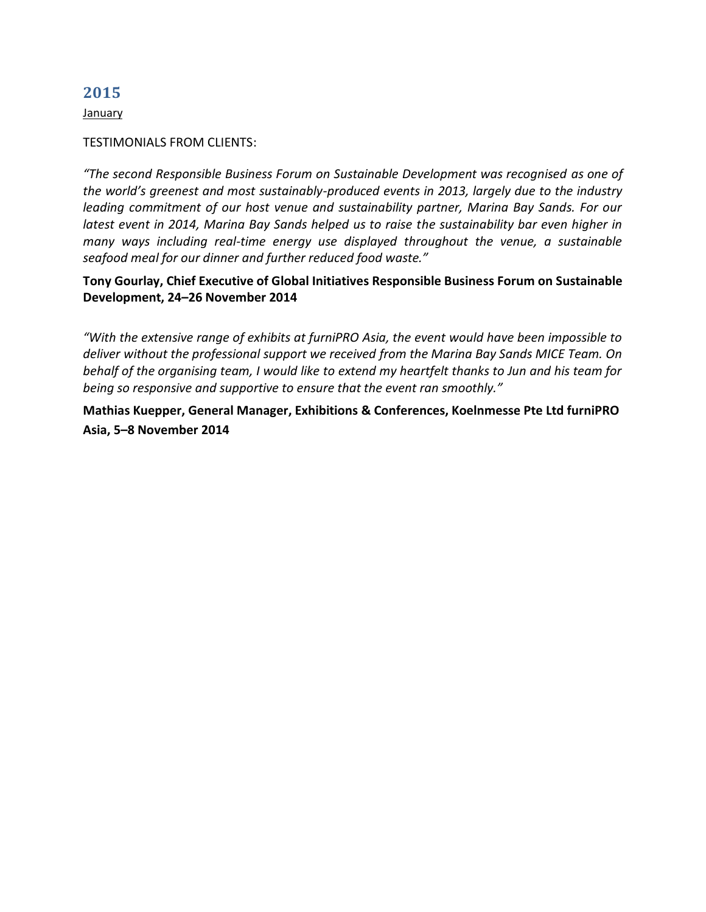**January** 

#### TESTIMONIALS FROM CLIENTS:

*"The second Responsible Business Forum on Sustainable Development was recognised as one of the world's greenest and most sustainably-produced events in 2013, largely due to the industry leading commitment of our host venue and sustainability partner, Marina Bay Sands. For our latest event in 2014, Marina Bay Sands helped us to raise the sustainability bar even higher in many ways including real-time energy use displayed throughout the venue, a sustainable seafood meal for our dinner and further reduced food waste."* 

**Tony Gourlay, Chief Executive of Global Initiatives Responsible Business Forum on Sustainable Development, 24–26 November 2014** 

*"With the extensive range of exhibits at furniPRO Asia, the event would have been impossible to deliver without the professional support we received from the Marina Bay Sands MICE Team. On behalf of the organising team, I would like to extend my heartfelt thanks to Jun and his team for being so responsive and supportive to ensure that the event ran smoothly."* 

**Mathias Kuepper, General Manager, Exhibitions & Conferences, Koelnmesse Pte Ltd furniPRO Asia, 5–8 November 2014**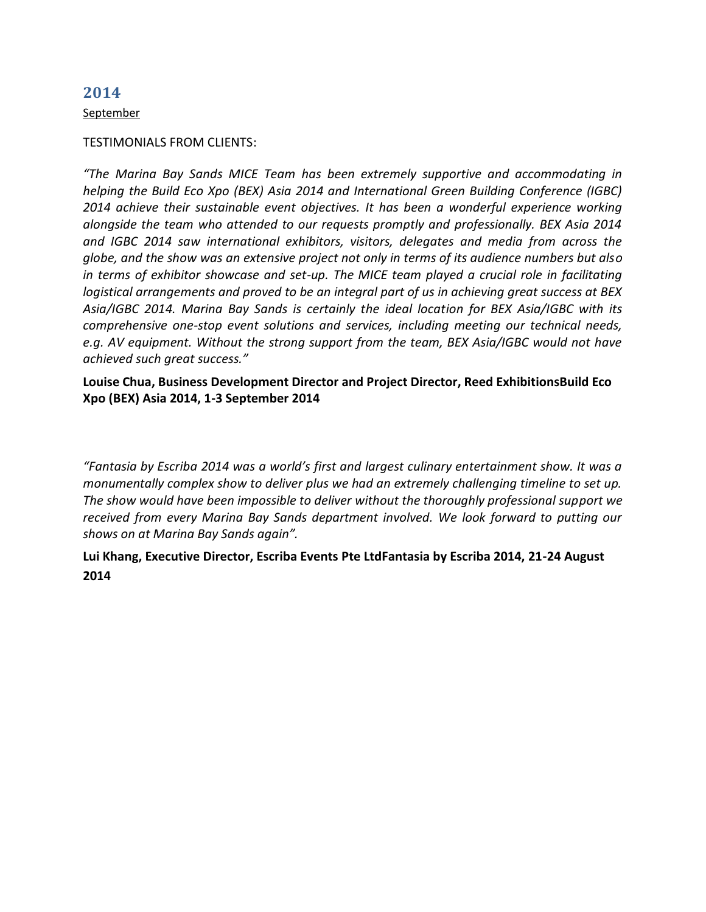September

#### TESTIMONIALS FROM CLIENTS:

*"The Marina Bay Sands MICE Team has been extremely supportive and accommodating in helping the Build Eco Xpo (BEX) Asia 2014 and International Green Building Conference (IGBC) 2014 achieve their sustainable event objectives. It has been a wonderful experience working alongside the team who attended to our requests promptly and professionally. BEX Asia 2014 and IGBC 2014 saw international exhibitors, visitors, delegates and media from across the globe, and the show was an extensive project not only in terms of its audience numbers but also in terms of exhibitor showcase and set-up. The MICE team played a crucial role in facilitating logistical arrangements and proved to be an integral part of us in achieving great success at BEX Asia/IGBC 2014. Marina Bay Sands is certainly the ideal location for BEX Asia/IGBC with its comprehensive one-stop event solutions and services, including meeting our technical needs, e.g. AV equipment. Without the strong support from the team, BEX Asia/IGBC would not have achieved such great success."* 

**Louise Chua, Business Development Director and Project Director, Reed ExhibitionsBuild Eco Xpo (BEX) Asia 2014, 1-3 September 2014**

*"Fantasia by Escriba 2014 was a world's first and largest culinary entertainment show. It was a monumentally complex show to deliver plus we had an extremely challenging timeline to set up. The show would have been impossible to deliver without the thoroughly professional support we received from every Marina Bay Sands department involved. We look forward to putting our shows on at Marina Bay Sands again".*

# **Lui Khang, Executive Director, Escriba Events Pte LtdFantasia by Escriba 2014, 21-24 August 2014**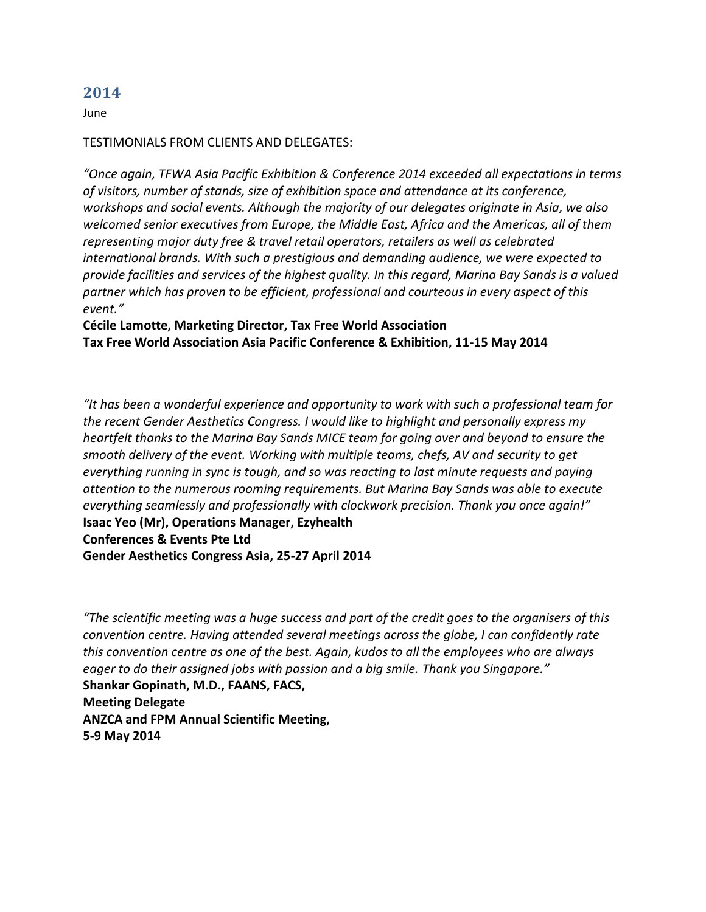June

### TESTIMONIALS FROM CLIENTS AND DELEGATES:

*"Once again, TFWA Asia Pacific Exhibition & Conference 2014 exceeded all expectations in terms of visitors, number of stands, size of exhibition space and attendance at its conference, workshops and social events. Although the majority of our delegates originate in Asia, we also welcomed senior executives from Europe, the Middle East, Africa and the Americas, all of them representing major duty free & travel retail operators, retailers as well as celebrated international brands. With such a prestigious and demanding audience, we were expected to provide facilities and services of the highest quality. In this regard, Marina Bay Sands is a valued partner which has proven to be efficient, professional and courteous in every aspect of this event."*

**Cécile Lamotte, Marketing Director, Tax Free World Association Tax Free World Association Asia Pacific Conference & Exhibition, 11-15 May 2014**

*"It has been a wonderful experience and opportunity to work with such a professional team for the recent Gender Aesthetics Congress. I would like to highlight and personally express my heartfelt thanks to the Marina Bay Sands MICE team for going over and beyond to ensure the smooth delivery of the event. Working with multiple teams, chefs, AV and security to get everything running in sync is tough, and so was reacting to last minute requests and paying attention to the numerous rooming requirements. But Marina Bay Sands was able to execute everything seamlessly and professionally with clockwork precision. Thank you once again!"* **Isaac Yeo (Mr), Operations Manager, Ezyhealth Conferences & Events Pte Ltd Gender Aesthetics Congress Asia, 25-27 April 2014**

*"The scientific meeting was a huge success and part of the credit goes to the organisers of this convention centre. Having attended several meetings across the globe, I can confidently rate this convention centre as one of the best. Again, kudos to all the employees who are always eager to do their assigned jobs with passion and a big smile. Thank you Singapore."* **Shankar Gopinath, M.D., FAANS, FACS, Meeting Delegate ANZCA and FPM Annual Scientific Meeting, 5-9 May 2014**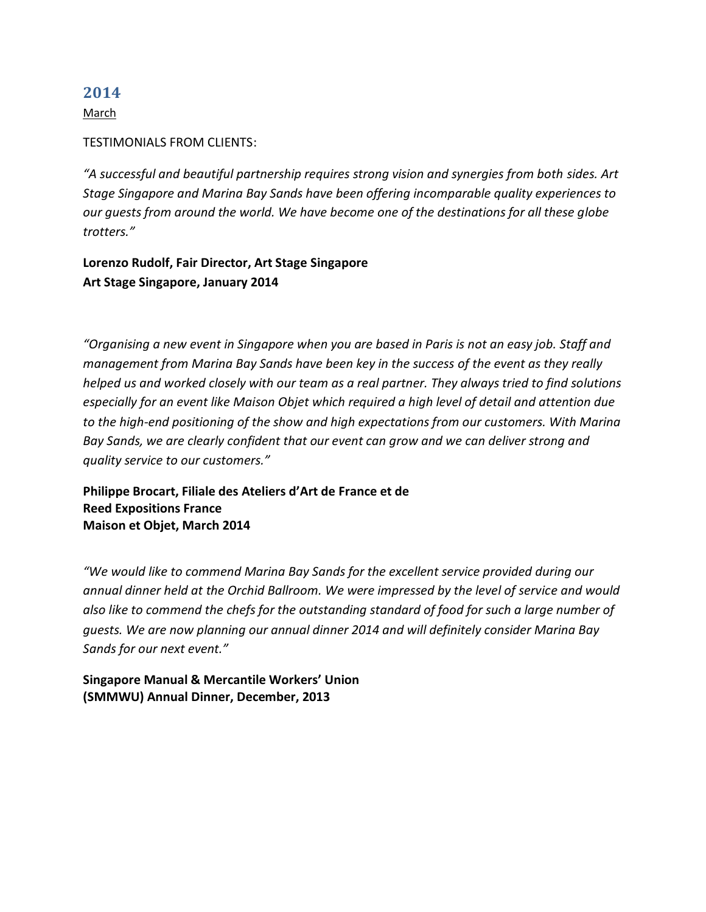March

### TESTIMONIALS FROM CLIENTS:

*"A successful and beautiful partnership requires strong vision and synergies from both sides. Art Stage Singapore and Marina Bay Sands have been offering incomparable quality experiences to our guests from around the world. We have become one of the destinations for all these globe trotters."*

**Lorenzo Rudolf, Fair Director, Art Stage Singapore Art Stage Singapore, January 2014** 

*"Organising a new event in Singapore when you are based in Paris is not an easy job. Staff and management from Marina Bay Sands have been key in the success of the event as they really helped us and worked closely with our team as a real partner. They always tried to find solutions especially for an event like Maison Objet which required a high level of detail and attention due to the high-end positioning of the show and high expectations from our customers. With Marina Bay Sands, we are clearly confident that our event can grow and we can deliver strong and quality service to our customers."*

**Philippe Brocart, Filiale des Ateliers d'Art de France et de Reed Expositions France Maison et Objet, March 2014**

*"We would like to commend Marina Bay Sands for the excellent service provided during our annual dinner held at the Orchid Ballroom. We were impressed by the level of service and would also like to commend the chefs for the outstanding standard of food for such a large number of guests. We are now planning our annual dinner 2014 and will definitely consider Marina Bay Sands for our next event."*

**Singapore Manual & Mercantile Workers' Union (SMMWU) Annual Dinner, December, 2013**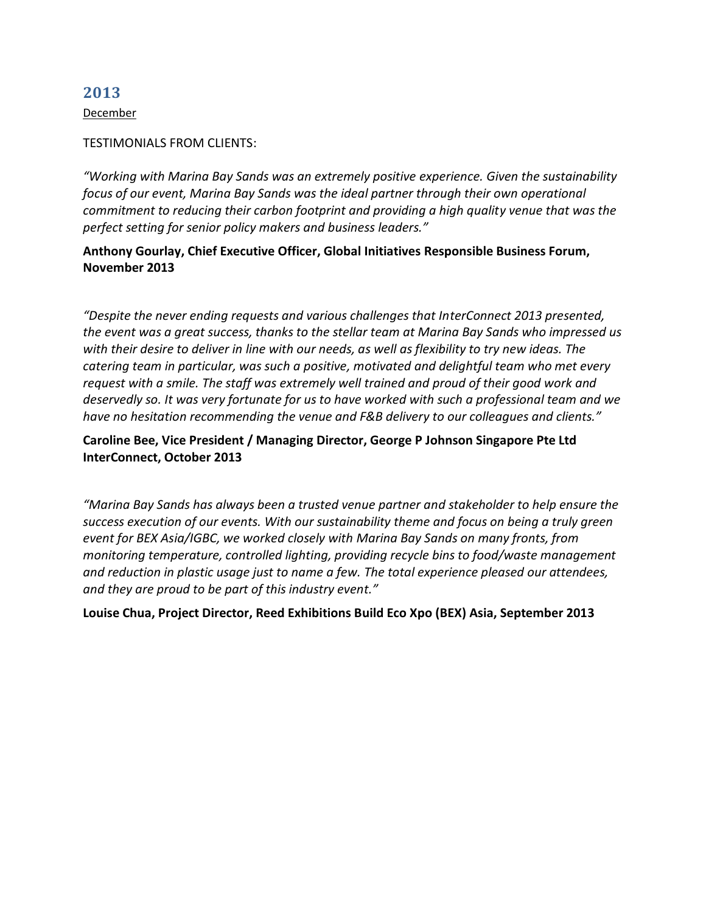December

#### TESTIMONIALS FROM CLIENTS:

*"Working with Marina Bay Sands was an extremely positive experience. Given the sustainability focus of our event, Marina Bay Sands was the ideal partner through their own operational commitment to reducing their carbon footprint and providing a high quality venue that was the perfect setting for senior policy makers and business leaders."* 

### **Anthony Gourlay, Chief Executive Officer, Global Initiatives Responsible Business Forum, November 2013**

*"Despite the never ending requests and various challenges that InterConnect 2013 presented, the event was a great success, thanks to the stellar team at Marina Bay Sands who impressed us with their desire to deliver in line with our needs, as well as flexibility to try new ideas. The catering team in particular, was such a positive, motivated and delightful team who met every request with a smile. The staff was extremely well trained and proud of their good work and deservedly so. It was very fortunate for us to have worked with such a professional team and we have no hesitation recommending the venue and F&B delivery to our colleagues and clients."* 

# **Caroline Bee, Vice President / Managing Director, George P Johnson Singapore Pte Ltd InterConnect, October 2013**

*"Marina Bay Sands has always been a trusted venue partner and stakeholder to help ensure the success execution of our events. With our sustainability theme and focus on being a truly green event for BEX Asia/IGBC, we worked closely with Marina Bay Sands on many fronts, from monitoring temperature, controlled lighting, providing recycle bins to food/waste management and reduction in plastic usage just to name a few. The total experience pleased our attendees, and they are proud to be part of this industry event."* 

### **Louise Chua, Project Director, Reed Exhibitions Build Eco Xpo (BEX) Asia, September 2013**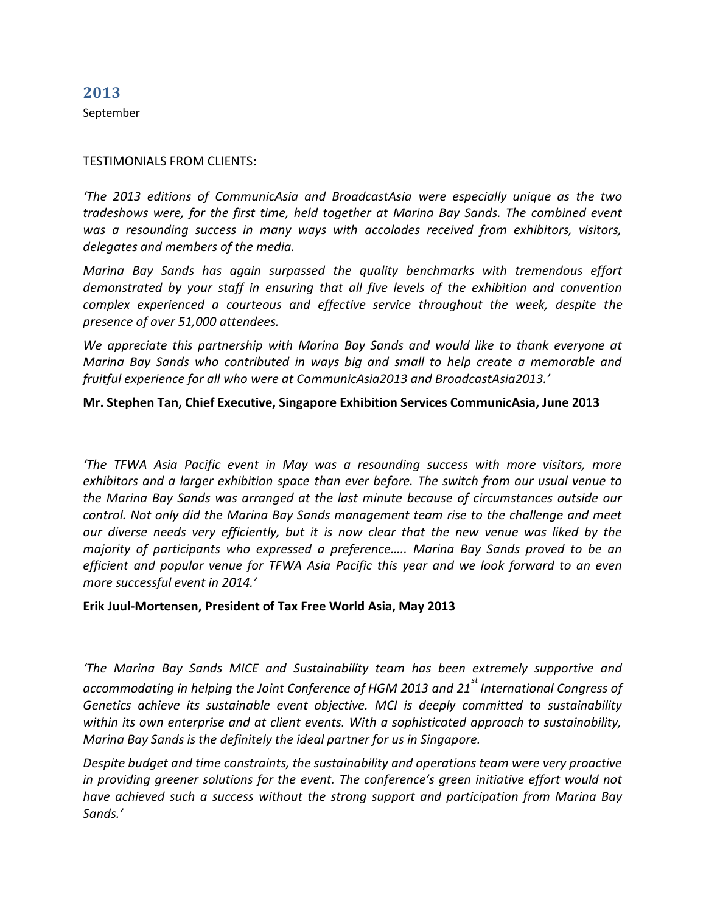**2013** September

#### TESTIMONIALS FROM CLIENTS:

*'The 2013 editions of CommunicAsia and BroadcastAsia were especially unique as the two tradeshows were, for the first time, held together at Marina Bay Sands. The combined event was a resounding success in many ways with accolades received from exhibitors, visitors, delegates and members of the media.* 

*Marina Bay Sands has again surpassed the quality benchmarks with tremendous effort demonstrated by your staff in ensuring that all five levels of the exhibition and convention complex experienced a courteous and effective service throughout the week, despite the presence of over 51,000 attendees.* 

*We appreciate this partnership with Marina Bay Sands and would like to thank everyone at Marina Bay Sands who contributed in ways big and small to help create a memorable and fruitful experience for all who were at CommunicAsia2013 and BroadcastAsia2013.'* 

### **Mr. Stephen Tan, Chief Executive, Singapore Exhibition Services CommunicAsia, June 2013**

*'The TFWA Asia Pacific event in May was a resounding success with more visitors, more exhibitors and a larger exhibition space than ever before. The switch from our usual venue to the Marina Bay Sands was arranged at the last minute because of circumstances outside our control. Not only did the Marina Bay Sands management team rise to the challenge and meet our diverse needs very efficiently, but it is now clear that the new venue was liked by the majority of participants who expressed a preference….. Marina Bay Sands proved to be an efficient and popular venue for TFWA Asia Pacific this year and we look forward to an even more successful event in 2014.'* 

#### **Erik Juul-Mortensen, President of Tax Free World Asia, May 2013**

*'The Marina Bay Sands MICE and Sustainability team has been extremely supportive and accommodating in helping the Joint Conference of HGM 2013 and 21 st International Congress of Genetics achieve its sustainable event objective. MCI is deeply committed to sustainability within its own enterprise and at client events. With a sophisticated approach to sustainability, Marina Bay Sands is the definitely the ideal partner for us in Singapore.* 

*Despite budget and time constraints, the sustainability and operations team were very proactive in providing greener solutions for the event. The conference's green initiative effort would not have achieved such a success without the strong support and participation from Marina Bay Sands.'*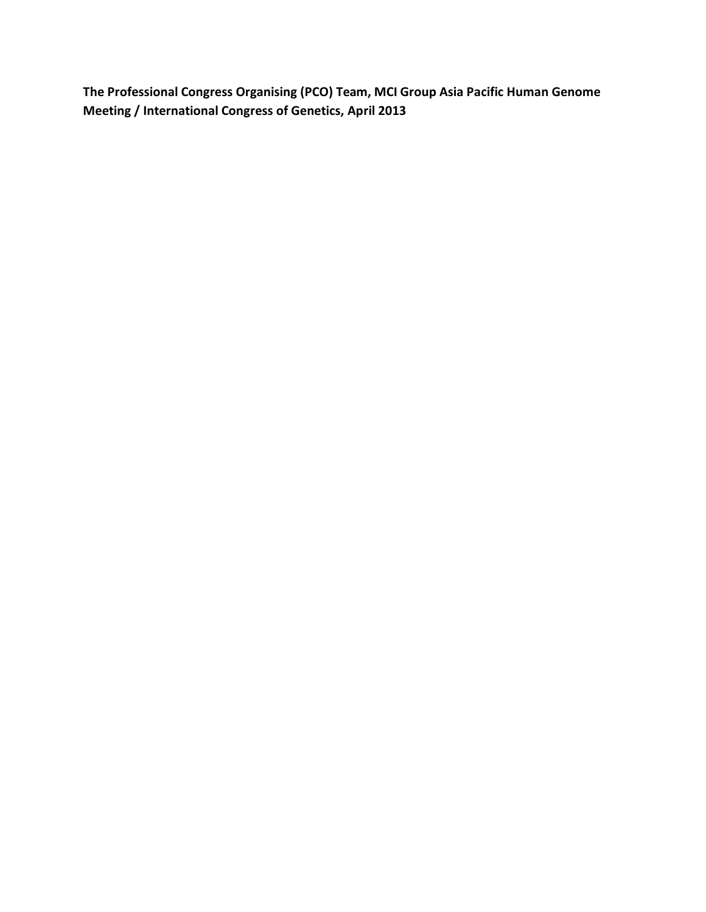**The Professional Congress Organising (PCO) Team, MCI Group Asia Pacific Human Genome Meeting / International Congress of Genetics, April 2013**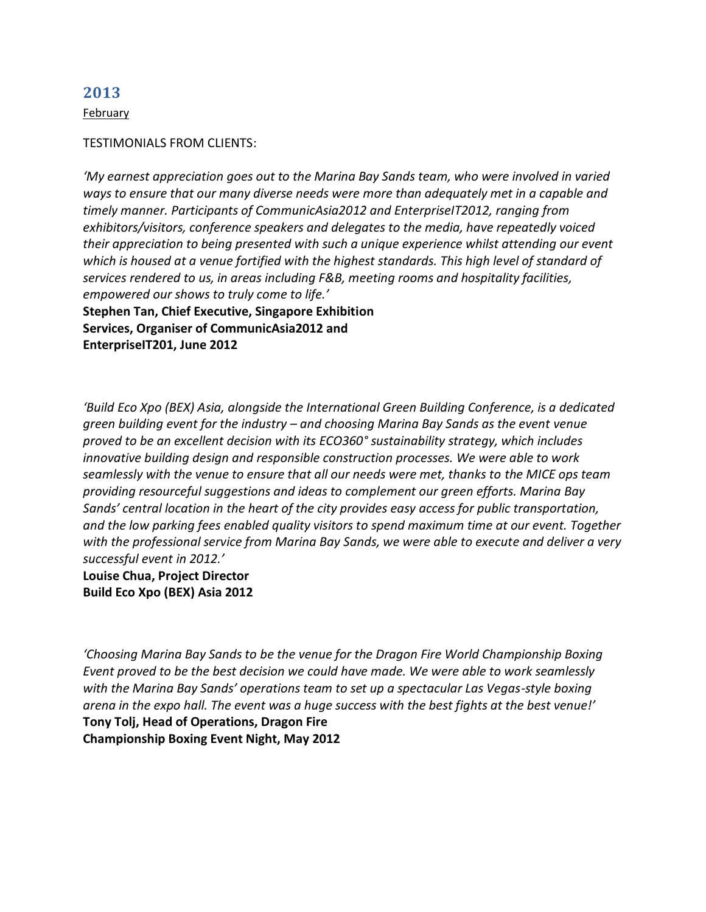February

#### TESTIMONIALS FROM CLIENTS:

*'My earnest appreciation goes out to the Marina Bay Sands team, who were involved in varied ways to ensure that our many diverse needs were more than adequately met in a capable and timely manner. Participants of CommunicAsia2012 and EnterpriseIT2012, ranging from exhibitors/visitors, conference speakers and delegates to the media, have repeatedly voiced their appreciation to being presented with such a unique experience whilst attending our event which is housed at a venue fortified with the highest standards. This high level of standard of services rendered to us, in areas including F&B, meeting rooms and hospitality facilities, empowered our shows to truly come to life.'* **Stephen Tan, Chief Executive, Singapore Exhibition Services, Organiser of CommunicAsia2012 and EnterpriseIT201, June 2012**

*'Build Eco Xpo (BEX) Asia, alongside the International Green Building Conference, is a dedicated green building event for the industry – and choosing Marina Bay Sands as the event venue proved to be an excellent decision with its ECO360° sustainability strategy, which includes innovative building design and responsible construction processes. We were able to work seamlessly with the venue to ensure that all our needs were met, thanks to the MICE ops team providing resourceful suggestions and ideas to complement our green efforts. Marina Bay Sands' central location in the heart of the city provides easy access for public transportation, and the low parking fees enabled quality visitors to spend maximum time at our event. Together with the professional service from Marina Bay Sands, we were able to execute and deliver a very successful event in 2012.'*

**Louise Chua, Project Director Build Eco Xpo (BEX) Asia 2012**

*'Choosing Marina Bay Sands to be the venue for the Dragon Fire World Championship Boxing Event proved to be the best decision we could have made. We were able to work seamlessly with the Marina Bay Sands' operations team to set up a spectacular Las Vegas-style boxing arena in the expo hall. The event was a huge success with the best fights at the best venue!'* **Tony Tolj, Head of Operations, Dragon Fire Championship Boxing Event Night, May 2012**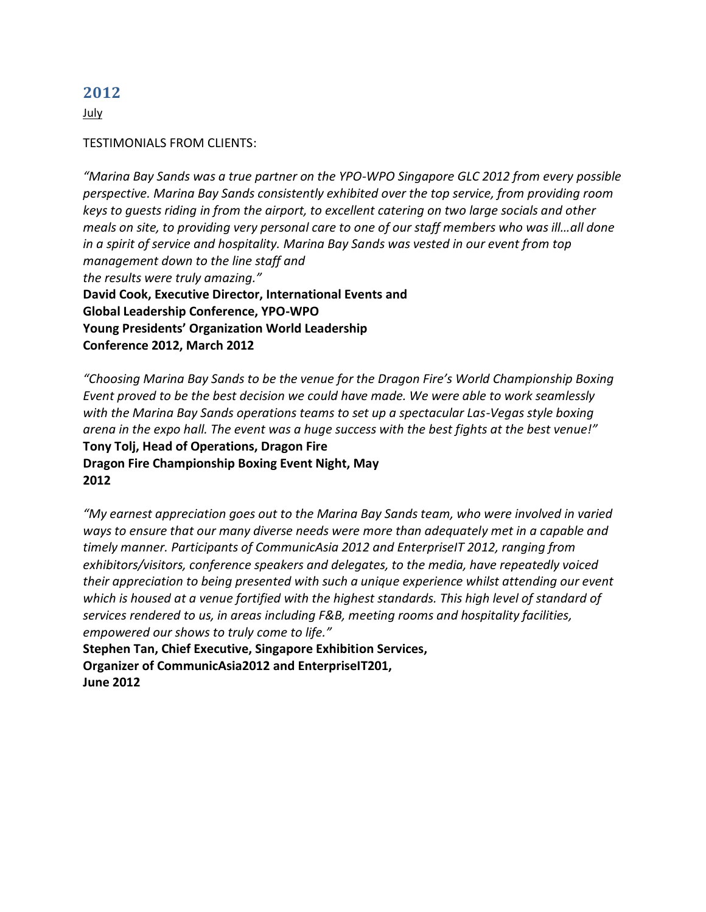July

### TESTIMONIALS FROM CLIENTS:

*"Marina Bay Sands was a true partner on the YPO-WPO Singapore GLC 2012 from every possible perspective. Marina Bay Sands consistently exhibited over the top service, from providing room keys to guests riding in from the airport, to excellent catering on two large socials and other meals on site, to providing very personal care to one of our staff members who was ill…all done in a spirit of service and hospitality. Marina Bay Sands was vested in our event from top management down to the line staff and the results were truly amazing."* **David Cook, Executive Director, International Events and Global Leadership Conference, YPO-WPO Young Presidents' Organization World Leadership Conference 2012, March 2012**

*"Choosing Marina Bay Sands to be the venue for the Dragon Fire's World Championship Boxing Event proved to be the best decision we could have made. We were able to work seamlessly with the Marina Bay Sands operations teams to set up a spectacular Las-Vegas style boxing arena in the expo hall. The event was a huge success with the best fights at the best venue!"* **Tony Tolj, Head of Operations, Dragon Fire Dragon Fire Championship Boxing Event Night, May 2012**

*"My earnest appreciation goes out to the Marina Bay Sands team, who were involved in varied ways to ensure that our many diverse needs were more than adequately met in a capable and timely manner. Participants of CommunicAsia 2012 and EnterpriseIT 2012, ranging from exhibitors/visitors, conference speakers and delegates, to the media, have repeatedly voiced their appreciation to being presented with such a unique experience whilst attending our event which is housed at a venue fortified with the highest standards. This high level of standard of services rendered to us, in areas including F&B, meeting rooms and hospitality facilities, empowered our shows to truly come to life."*

**Stephen Tan, Chief Executive, Singapore Exhibition Services, Organizer of CommunicAsia2012 and EnterpriseIT201, June 2012**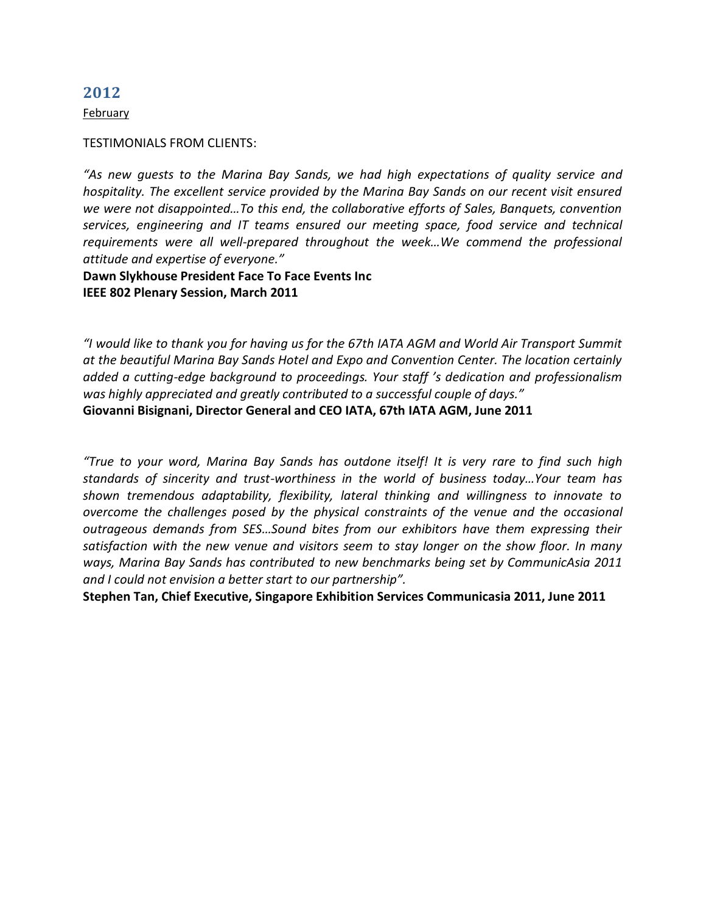February

#### TESTIMONIALS FROM CLIENTS:

*"As new guests to the Marina Bay Sands, we had high expectations of quality service and hospitality. The excellent service provided by the Marina Bay Sands on our recent visit ensured we were not disappointed…To this end, the collaborative efforts of Sales, Banquets, convention services, engineering and IT teams ensured our meeting space, food service and technical requirements were all well-prepared throughout the week…We commend the professional attitude and expertise of everyone."* 

**Dawn Slykhouse President Face To Face Events Inc IEEE 802 Plenary Session, March 2011** 

*"I would like to thank you for having us for the 67th IATA AGM and World Air Transport Summit at the beautiful Marina Bay Sands Hotel and Expo and Convention Center. The location certainly added a cutting-edge background to proceedings. Your staff 's dedication and professionalism was highly appreciated and greatly contributed to a successful couple of days."*  **Giovanni Bisignani, Director General and CEO IATA, 67th IATA AGM, June 2011** 

*"True to your word, Marina Bay Sands has outdone itself! It is very rare to find such high standards of sincerity and trust-worthiness in the world of business today…Your team has shown tremendous adaptability, flexibility, lateral thinking and willingness to innovate to overcome the challenges posed by the physical constraints of the venue and the occasional outrageous demands from SES…Sound bites from our exhibitors have them expressing their satisfaction with the new venue and visitors seem to stay longer on the show floor. In many ways, Marina Bay Sands has contributed to new benchmarks being set by CommunicAsia 2011 and I could not envision a better start to our partnership".* 

**Stephen Tan, Chief Executive, Singapore Exhibition Services Communicasia 2011, June 2011**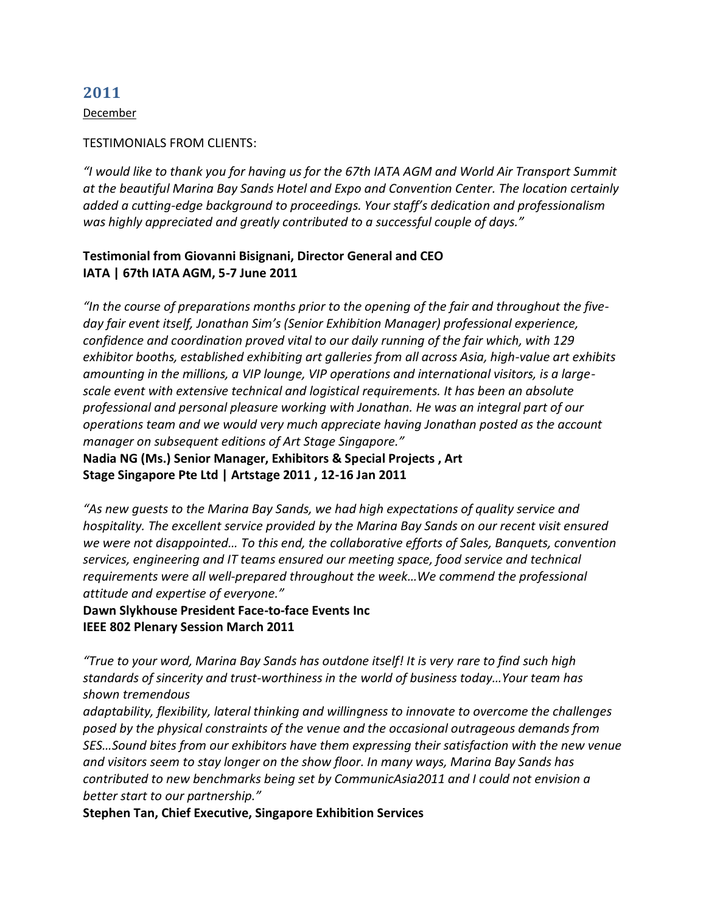December

#### TESTIMONIALS FROM CLIENTS:

*"I would like to thank you for having us for the 67th IATA AGM and World Air Transport Summit at the beautiful Marina Bay Sands Hotel and Expo and Convention Center. The location certainly added a cutting-edge background to proceedings. Your staff's dedication and professionalism was highly appreciated and greatly contributed to a successful couple of days."*

# **Testimonial from Giovanni Bisignani, Director General and CEO IATA | 67th IATA AGM, 5-7 June 2011**

*"In the course of preparations months prior to the opening of the fair and throughout the fiveday fair event itself, Jonathan Sim's (Senior Exhibition Manager) professional experience, confidence and coordination proved vital to our daily running of the fair which, with 129 exhibitor booths, established exhibiting art galleries from all across Asia, high-value art exhibits amounting in the millions, a VIP lounge, VIP operations and international visitors, is a largescale event with extensive technical and logistical requirements. It has been an absolute professional and personal pleasure working with Jonathan. He was an integral part of our operations team and we would very much appreciate having Jonathan posted as the account manager on subsequent editions of Art Stage Singapore."*

**Nadia NG (Ms.) Senior Manager, Exhibitors & Special Projects , Art Stage Singapore Pte Ltd | Artstage 2011 , 12-16 Jan 2011**

*"As new guests to the Marina Bay Sands, we had high expectations of quality service and hospitality. The excellent service provided by the Marina Bay Sands on our recent visit ensured we were not disappointed… To this end, the collaborative efforts of Sales, Banquets, convention services, engineering and IT teams ensured our meeting space, food service and technical requirements were all well-prepared throughout the week…We commend the professional attitude and expertise of everyone."*

**Dawn Slykhouse President Face-to-face Events Inc IEEE 802 Plenary Session March 2011**

*"True to your word, Marina Bay Sands has outdone itself! It is very rare to find such high standards of sincerity and trust-worthiness in the world of business today…Your team has shown tremendous*

*adaptability, flexibility, lateral thinking and willingness to innovate to overcome the challenges posed by the physical constraints of the venue and the occasional outrageous demands from SES…Sound bites from our exhibitors have them expressing their satisfaction with the new venue and visitors seem to stay longer on the show floor. In many ways, Marina Bay Sands has contributed to new benchmarks being set by CommunicAsia2011 and I could not envision a better start to our partnership."*

**Stephen Tan, Chief Executive, Singapore Exhibition Services**